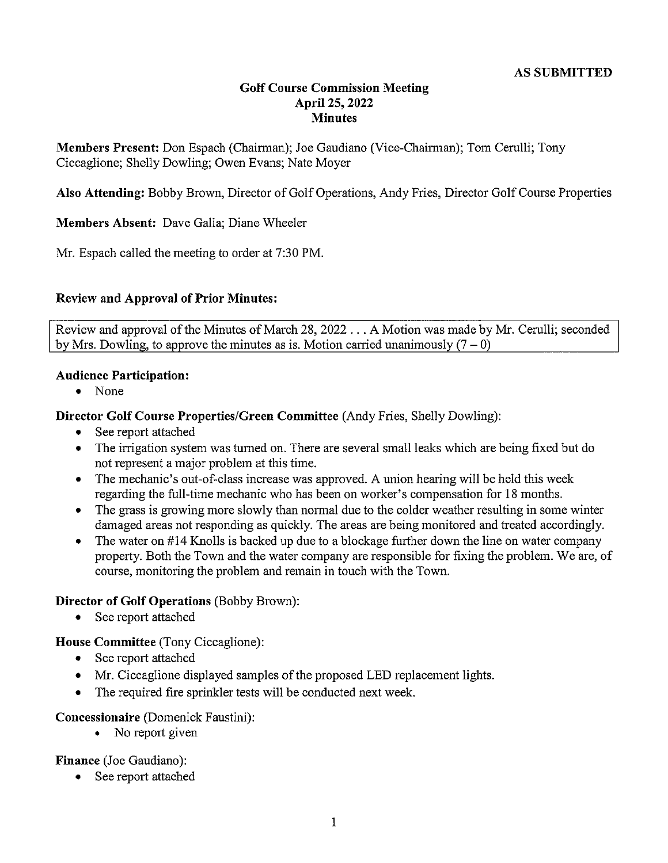#### **Golf Course Commission Meeting April 25, 2022 Minutes**

**Members Present:** Don Espach (Chairman); Joe Gaudiano (Vice-Chairman); Tom Cerulli; Tony Ciccaglione; Shelly Dowling; Owen Evans; Nate Moyer

**Also Attending:** Bobby Brown, Director of Golf Operations, Andy Fries, Director Golf Course Properties

**Members Absent:** Dave Galla; Diane Wheeler

Mr. Espach called the meeting to order at 7:30 PM.

#### **Review and Approval of Prior Minutes:**

Review and approval of the Minutes of March 28, 2022 ... A Motion was made by Mr. Cerulli; seconded by Mrs. Dowling, to approve the minutes as is. Motion carried unanimously  $(7 - 0)$ 

#### **Audience Participation:**

• None

**Director Golf Course Properties/Green Committee** (Andy Fries, Shelly Dowling):

- See report attached
- The irrigation system was turned on. There are several small leaks which are being fixed but do not represent a major problem at this time.
- The mechanic's out-of-class increase was approved. A union hearing will be held this week regarding the full-time mechanic who has been on worker's compensation for 18 months.
- The grass is growing more slowly than normal due to the colder weather resulting in some winter damaged areas not responding as quickly. The areas are being monitored and treated accordingly.
- $\bullet$ The water on #14 Knolls is backed up due to a blockage further down the line on water company property. Both the Town and the water company are responsible for fixing the problem. We are, of course, monitoring the problem and remain in touch with the Town.

#### **Director of Golf Operations** (Bobby Brown):

• See report attached

**House Committee** (Tony Ciccaglione):

- See report attached
- Mr. Ciccaglione displayed samples of the proposed LED replacement lights.
- The required fire sprinkler tests will be conducted next week.

#### **Concessionaire** (Domenick Faustini):

• No report given

**Finance** (Joe Gaudiano):

• See report attached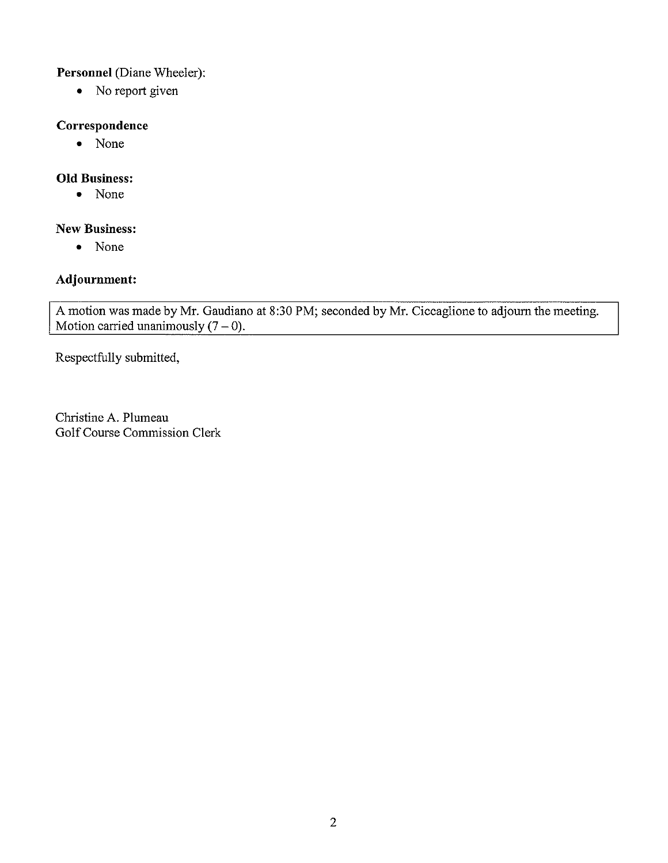Personnel (Diane Wheeler):

• No report given

#### **Correspondence**

• None

#### **Old Business:**

• None

#### **New Business:**

• None

#### **Adjournment:**

A motion was made by Mr. Gaudiano at 8:30 PM; seconded by Mr. Ciccaglione to adjourn the meeting. Motion carried unanimously  $(7 - 0)$ .

Respectfully submitted,

Christine A. Plumeau Golf Course Commission Clerk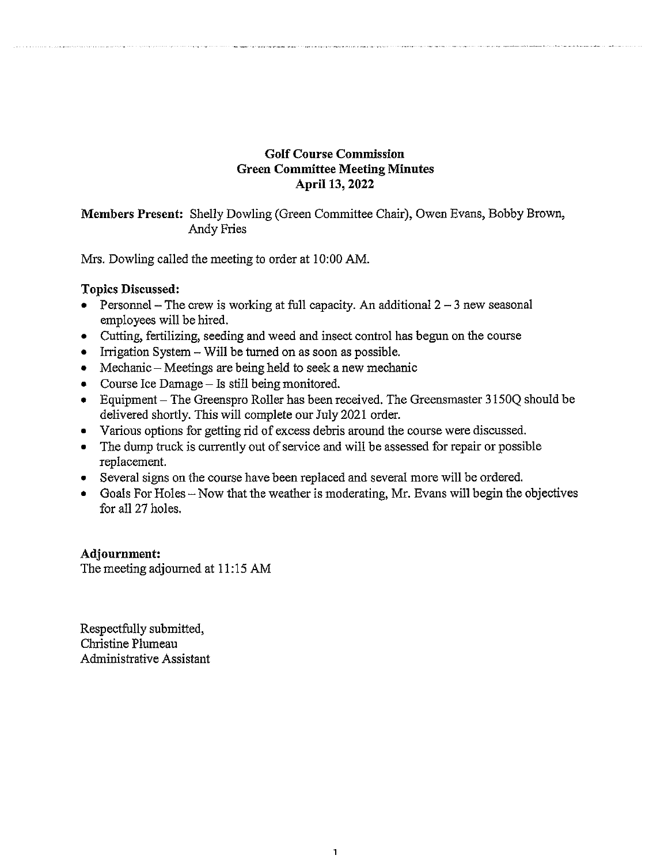#### **Golf Course Commission Green Committee Meeting Minutes April 13, 2022**

**Members Present:** Shelly Dowling (Green Committee Chair), Owen Evans, Bobby Brown, Andy Fries

Mrs. Dowling called the meeting to order at 10:00 AM.

**Topics Discussed:** 

- Personnel The crew is working at full capacity. An additional  $2 3$  new seasonal employees will be hired.
- Cutting, fertilizing, seeding and weed and insect control has begun on the course
- Irrigation System Will be turned on as soon as possible.
- Mechanic Meetings are being held to seek a new mechanic
- Course Ice Damage Is still being monitored.
- Equipment The Greenspro Roller has been received. The Greensmaster 31500 should be delivered shortly. This will complete our July 2021 order.
- Various options for getting rid of excess debris around the course were discussed.
- The dump truck is currently out of service and will be assessed for repair or possible replacement.
- Several signs on the course have been replaced and several more will be ordered.
- Goals For Holes  $-$  Now that the weather is moderating, Mr. Evans will begin the objectives for all 27 holes.

**Adjournment:**  The meeting adjourned at 11:15 AM

Respectfully submitted, Christine Plumeau Administrative Assistant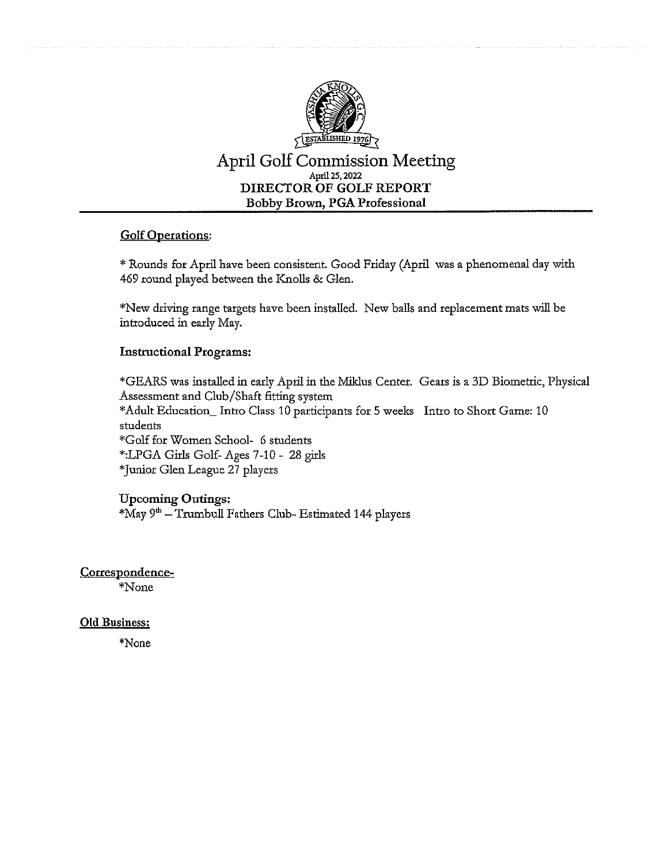

**April Golf Commission Meeting**  April 25, 2022 **DIRECTOR OF GOLF REPORT Bobby Brown, PGA Professional** 

#### **Golf Operations:**

\* Rounds for April have been consistent. Good Friday (April was a phenomenal day with 469 round played between the Knolls & Glen.

\*New driving range targets have been installed. New balls and replacement mats will be introduced in early May.

#### **Instructional Programs:**

\*GEARS was installed in early April in the Miklus Center. Gears is a 3D Biometric, Physical Assessment and Club /Shaft fitting system \*Adult Education\_ Intro Class 10 participants for 5 weeks Intro to Short Game: 10 students \*Golf for Women School- 6 students \*:LPGA Girls Golf- Ages 7-10 - 28 girls \*Junior Glen League 27 players

#### **Upcoming Outings:**

\*May 9<sup>th</sup> – Trumbull Fathers Club- Estimated 144 players

#### **Correspondence-**

\*N one

#### **Old Business:**

\*None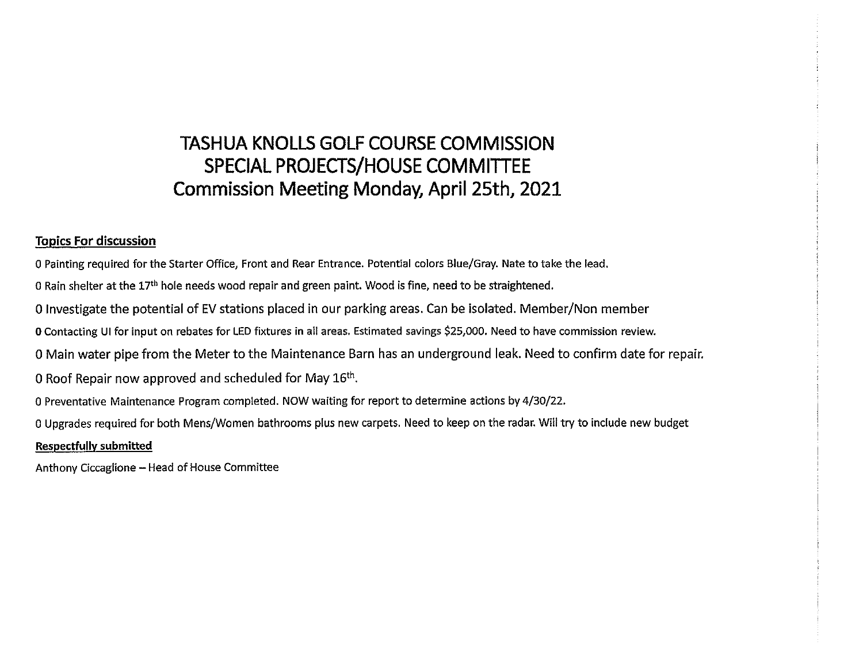#### **TASHUA KNOLLS GOLF COURSE COMMISSION SPECIAL PROJECTS/HOUSE COMMITTEE Commission Meeting Monday, April 25th, 2021**

#### **Topics For discussion**

O Painting required for the Starter Office, Front and Rear Entrance. Potential colors Blue/Gray. Nate to take the lead.

0 Rain shelter at the  $17<sup>th</sup>$  hole needs wood repair and green paint. Wood is fine, need to be straightened.

0 Investigate the potential of EV stations placed in our parking areas. Can be isolated. Member/Non member

**0** Contacting UI for input on rebates for LED fixtures in all areas. Estimated savings \$25,000. Need to have commission review.

O Main water pipe from the Meter to the Maintenance Barn has an underground leak. Need to confirm date for repair.

0 Roof Repair now approved and scheduled for May  $16<sup>th</sup>$ .

0 Preventative Maintenance Program completed. NOW waiting for report to determine actions by 4/30/22.

O Upgrades required for both Mens/Women bathrooms plus new carpets. Need to keep on the radar. Will try to include new budget

#### **Respectfully submitted**

Anthony Ciccaglione - Head of House Committee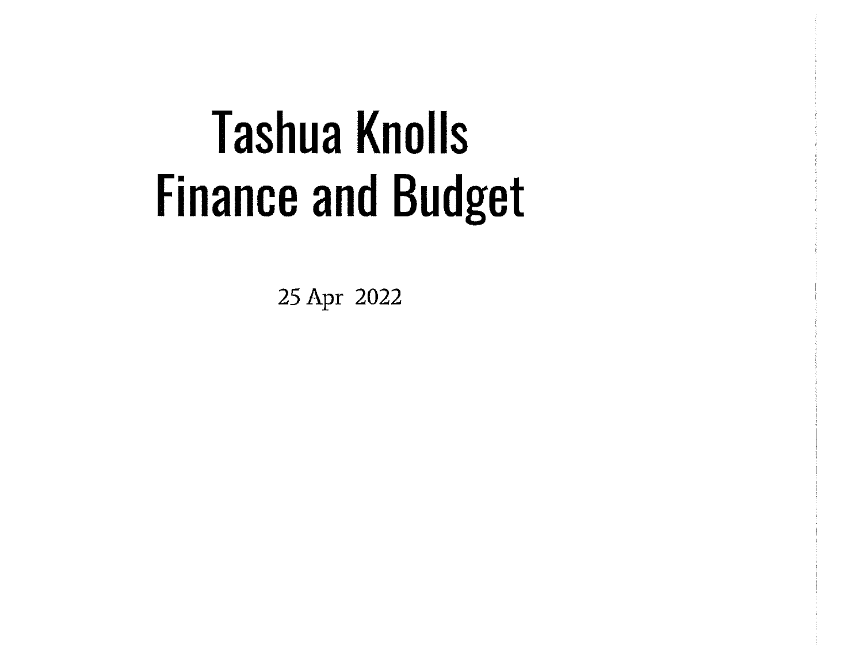# **Tashua Knolls Finance and Budget**

25 Apr 2022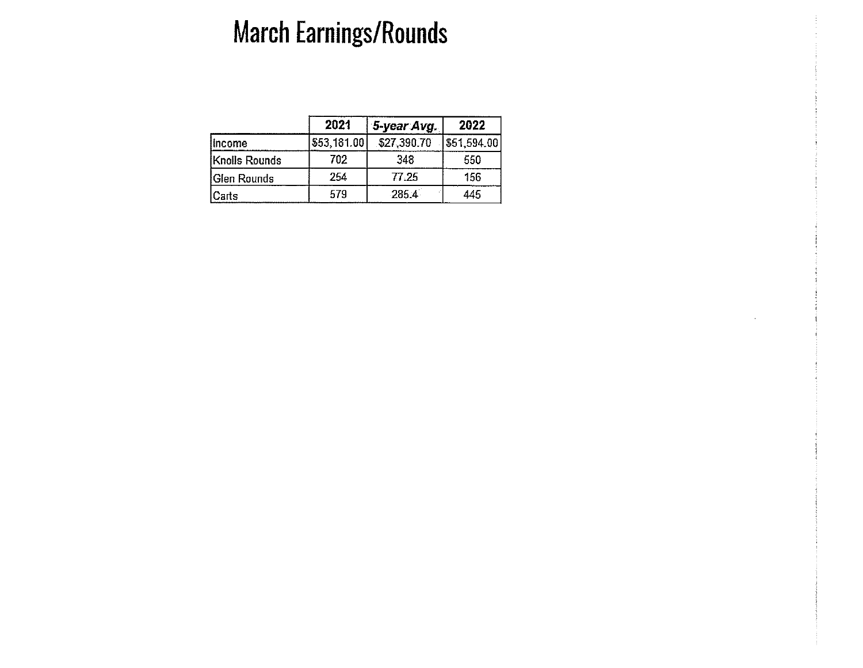# **March Earnings/Rounds**

|               | 2021        | 5-year Avg  | 2022        |
|---------------|-------------|-------------|-------------|
| lincome       | \$53,181.00 | \$27,390.70 | \$51,594.00 |
| Knolls Rounds | 702         | 348         | 550         |
| Glen Rounds   | 254         | 77.25       | 156         |
| Carts         | 579         | 285.4       | 445         |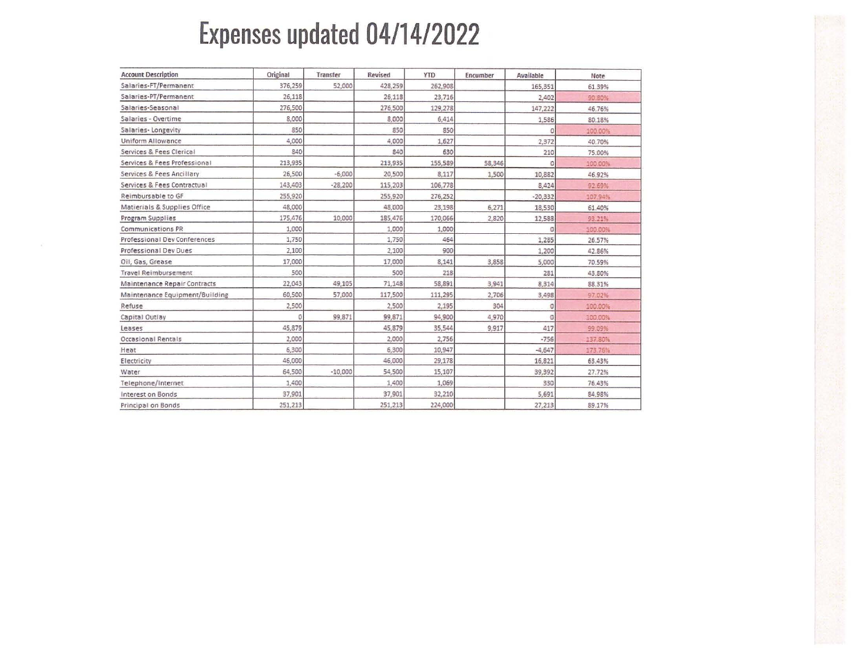# **Expenses updated 04/14/2022**

| <b>Account Description</b>     | Original | Transfer  | Revised | <b>YTD</b> | Encumber | Available | Note    |
|--------------------------------|----------|-----------|---------|------------|----------|-----------|---------|
| Salaries-FT/Permanent          | 376,259  | 52,000    | 428,259 | 262,908    |          | 165,351   | 61.39%  |
| Salaries-PT/Permanent          | 26,118   |           | 26,118  | 23,716     |          | 2,402     | 90.80%  |
| Salaries-Seasonal              | 276,500  |           | 276,500 | 129,278    |          | 147,222   | 46.76%  |
| Salaries - Overtime            | 8,000    |           | 8,000   | 6,414      |          | 1,586     | 80.18%  |
| Salaries-Longevity             | 850      |           | 850     | 850        |          |           | 100.00% |
| Uniform Allowance              | 4,000    |           | 4,000   | 1,627      |          | 2,372     | 40.70%  |
| Services & Fees Clerical       | 840      |           | 840     | 630        |          | 210       | 75.00%  |
| Services & Fees Professional   | 213,935  |           | 213,935 | 155,589    | 58,346   |           | 100.00% |
| Services & Fees Ancillary      | 26,500   | $-6,000$  | 20,500  | 8,117      | 1,500    | 10,882    | 46.92%  |
| Services & Fees Contractual    | 143,403  | $-28,200$ | 115,203 | 106,778    |          | 8,424     | 92.69%  |
| Reimbursable to GF             | 255,920  |           | 255,920 | 276,252    |          | $-20.332$ | 107.94% |
| Matierials & Supplies Office   | 48,000   |           | 48,000  | 23,198     | 6,271    | 18,530    | 61.40%  |
| Program Supplies               | 175,476  | 10,000    | 185,476 | 170,066    | 2,820    | 12,588    | 93.21%  |
| Communications PR              | 1,000    |           | 1,000   | 1,000      |          |           | 100.00% |
| Professional Dev Conferences   | 1,750    |           | 1,750   | 464        |          | 1,285     | 26.57%  |
| Professional Dev Dues          | 2,100    |           | 2,100   | 900        |          | 1,200     | 42.86%  |
| Oil, Gas, Grease               | 17,000   |           | 17,000  | 8,141      | 3,858    | 5,000     | 70.59%  |
| <b>Travel Reimbursement</b>    | 500      |           | 500     | 218        |          | 281       | 43,80%  |
| Maintenance Repair Contracts   | 22,043   | 49,105    | 71,148  | 58,891     | 3.941    | 8,314     | 88.31%  |
| Maintenance Equipment/Building | 60,500   | 57,000    | 117,500 | 111,295    | 2,706    | 3,498     | 97.02%  |
| Refuse                         | 2,500    |           | 2,500   | 2,195      | 304      |           | 100.00% |
| Capital Outlay                 |          | 99,871    | 99,871  | 94,900     | 4,970    | O         | 100.00% |
| Leases                         | 45,879   |           | 45,879  | 35,544     | 9.917    | 417       | 99.09%  |
| Occasional Rentals             | 2,000    |           | 2,000   | 2,756      |          | $-756$    | 137.80% |
| Heat                           | 6,300    |           | 6,300   | 10,947     |          | $-4,647$  | 173.76% |
| Electricity                    | 46,000   |           | 46,000  | 29,178     |          | 16,821    | 63.43%  |
| Water                          | 64,500   | $-10,000$ | 54,500  | 15,107     |          | 39,392    | 27.72%  |
| Telephone/Internet             | 1,400    |           | 1,400   | 1,069      |          | 330       | 76.43%  |
| Interest on Bonds              | 37,901   |           | 37,901  | 32,210     |          | 5,691     | 84.98%  |
| Principal on Bonds             | 251,213  |           | 251,213 | 224,000    |          | 27,213    | 89.17%  |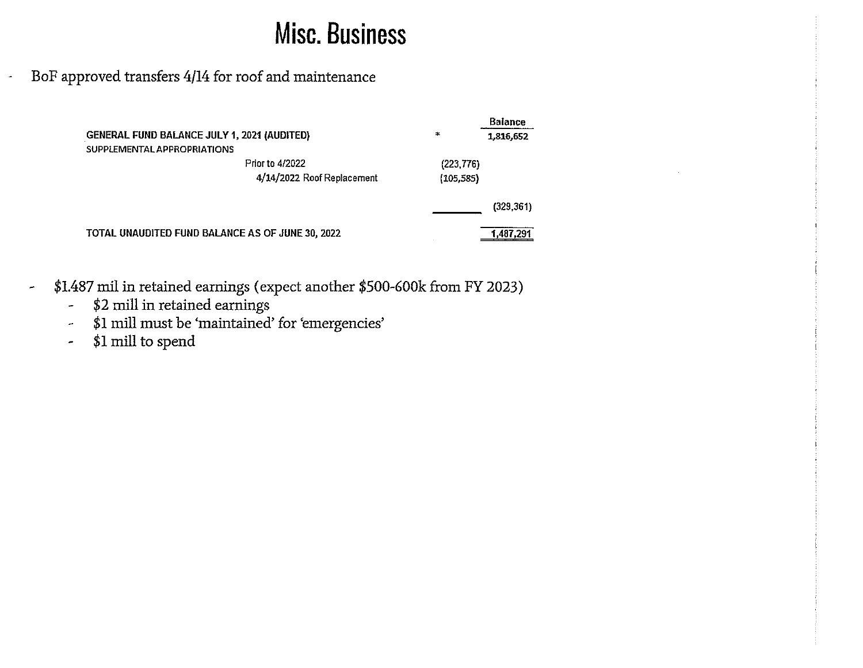## **Misc. Business**

BoF approved transfers 4/14 for roof and maintenance

|                                                    |                                                  |            | <b>Balance</b> |  |  |
|----------------------------------------------------|--------------------------------------------------|------------|----------------|--|--|
| <b>GENERAL FUND BALANCE JULY 1, 2021 (AUDITED)</b> |                                                  | ÷          | 1,816,652      |  |  |
| SUPPLEMENTAL APPROPRIATIONS                        |                                                  |            |                |  |  |
|                                                    | <b>Prior to 4/2022</b>                           |            | (223, 776)     |  |  |
|                                                    | 4/14/2022 Roof Replacement                       | (105, 585) |                |  |  |
|                                                    |                                                  |            | (329, 361)     |  |  |
|                                                    | TOTAL UNAUDITED FUND BALANCE AS OF JUNE 30, 2022 |            | 1,487,291      |  |  |

- \$1.487 mil in retained earnings ( expect another \$500-600k from FY 2023)  $\overline{\phantom{a}}$ 
	- \$2 mill in retained earnings  $\frac{1}{\sqrt{2}}$
	- \$1 mill must be 'maintained' for 'emergencies'  $\tilde{\phantom{a}}$
	- \$1 mill to spend  $\frac{1}{\sqrt{2}}$

 $\overline{\phantom{a}}$